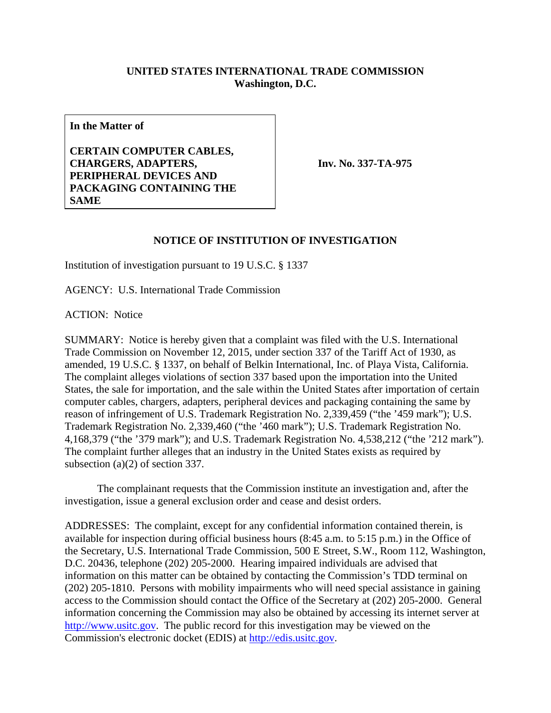## **UNITED STATES INTERNATIONAL TRADE COMMISSION Washington, D.C.**

**In the Matter of** 

**CERTAIN COMPUTER CABLES, CHARGERS, ADAPTERS, PERIPHERAL DEVICES AND PACKAGING CONTAINING THE SAME**

**Inv. No. 337-TA-975**

## **NOTICE OF INSTITUTION OF INVESTIGATION**

Institution of investigation pursuant to 19 U.S.C. § 1337

AGENCY: U.S. International Trade Commission

ACTION: Notice

SUMMARY: Notice is hereby given that a complaint was filed with the U.S. International Trade Commission on November 12, 2015, under section 337 of the Tariff Act of 1930, as amended, 19 U.S.C. § 1337, on behalf of Belkin International, Inc. of Playa Vista, California. The complaint alleges violations of section 337 based upon the importation into the United States, the sale for importation, and the sale within the United States after importation of certain computer cables, chargers, adapters, peripheral devices and packaging containing the same by reason of infringement of U.S. Trademark Registration No. 2,339,459 ("the '459 mark"); U.S. Trademark Registration No. 2,339,460 ("the '460 mark"); U.S. Trademark Registration No. 4,168,379 ("the '379 mark"); and U.S. Trademark Registration No. 4,538,212 ("the '212 mark"). The complaint further alleges that an industry in the United States exists as required by subsection (a)(2) of section 337.

 The complainant requests that the Commission institute an investigation and, after the investigation, issue a general exclusion order and cease and desist orders.

ADDRESSES: The complaint, except for any confidential information contained therein, is available for inspection during official business hours (8:45 a.m. to 5:15 p.m.) in the Office of the Secretary, U.S. International Trade Commission, 500 E Street, S.W., Room 112, Washington, D.C. 20436, telephone (202) 205-2000. Hearing impaired individuals are advised that information on this matter can be obtained by contacting the Commission's TDD terminal on (202) 205-1810. Persons with mobility impairments who will need special assistance in gaining access to the Commission should contact the Office of the Secretary at (202) 205-2000. General information concerning the Commission may also be obtained by accessing its internet server at http://www.usitc.gov. The public record for this investigation may be viewed on the Commission's electronic docket (EDIS) at http://edis.usitc.gov.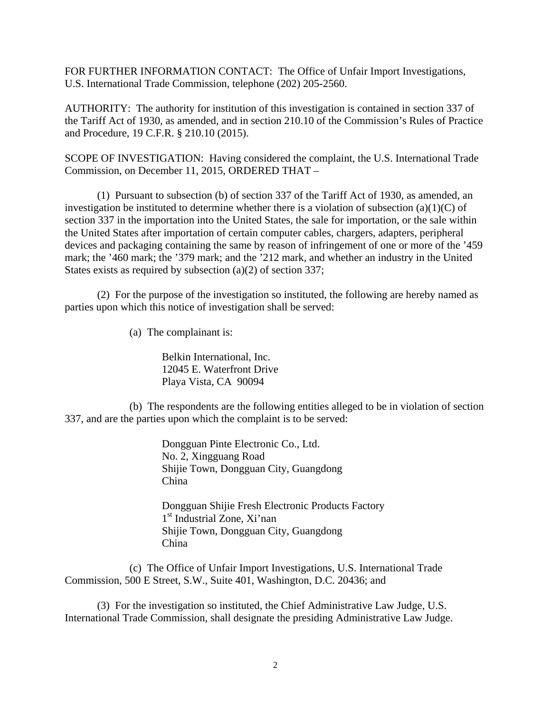FOR FURTHER INFORMATION CONTACT: The Office of Unfair Import Investigations, U.S. International Trade Commission, telephone (202) 205-2560.

AUTHORITY: The authority for institution of this investigation is contained in section 337 of the Tariff Act of 1930, as amended, and in section 210.10 of the Commission's Rules of Practice and Procedure, 19 C.F.R. § 210.10 (2015).

SCOPE OF INVESTIGATION: Having considered the complaint, the U.S. International Trade Commission, on December 11, 2015, ORDERED THAT –

 (1) Pursuant to subsection (b) of section 337 of the Tariff Act of 1930, as amended, an investigation be instituted to determine whether there is a violation of subsection  $(a)(1)(C)$  of section 337 in the importation into the United States, the sale for importation, or the sale within the United States after importation of certain computer cables, chargers, adapters, peripheral devices and packaging containing the same by reason of infringement of one or more of the '459 mark; the '460 mark; the '379 mark; and the '212 mark, and whether an industry in the United States exists as required by subsection (a)(2) of section 337;

 (2) For the purpose of the investigation so instituted, the following are hereby named as parties upon which this notice of investigation shall be served:

(a) The complainant is:

Belkin International, Inc. 12045 E. Waterfront Drive Playa Vista, CA 90094

 (b) The respondents are the following entities alleged to be in violation of section 337, and are the parties upon which the complaint is to be served:

> Dongguan Pinte Electronic Co., Ltd. No. 2, Xingguang Road Shijie Town, Dongguan City, Guangdong China

 Dongguan Shijie Fresh Electronic Products Factory 1<sup>st</sup> Industrial Zone, Xi'nan Shijie Town, Dongguan City, Guangdong China

 (c) The Office of Unfair Import Investigations, U.S. International Trade Commission, 500 E Street, S.W., Suite 401, Washington, D.C. 20436; and

 (3) For the investigation so instituted, the Chief Administrative Law Judge, U.S. International Trade Commission, shall designate the presiding Administrative Law Judge.